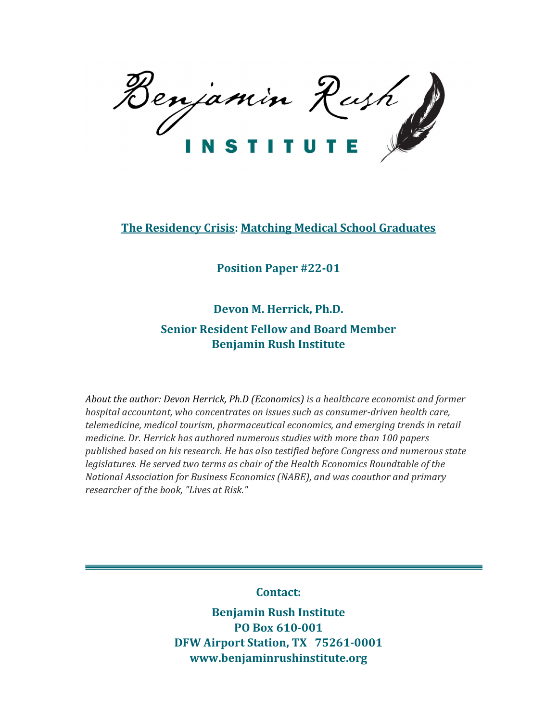Benjamin Rush

# The Residency Crisis: Matching Medical School Graduates

Position Paper #22-01

Devon M. Herrick, Ph.D.

# Senior Resident Fellow and Board Member Benjamin Rush Institute

About the author: Devon Herrick, Ph.D (Economics) is a healthcare economist and former hospital accountant, who concentrates on issues such as consumer-driven health care, telemedicine, medical tourism, pharmaceutical economics, and emerging trends in retail medicine. Dr. Herrick has authored numerous studies with more than 100 papers published based on his research. He has also testified before Congress and numerous state legislatures. He served two terms as chair of the Health Economics Roundtable of the National Association for Business Economics (NABE), and was coauthor and primary researcher of the book, "Lives at Risk."

Contact:

Benjamin Rush Institute PO Box 610-001 DFW Airport Station, TX 75261-0001 www.benjaminrushinstitute.org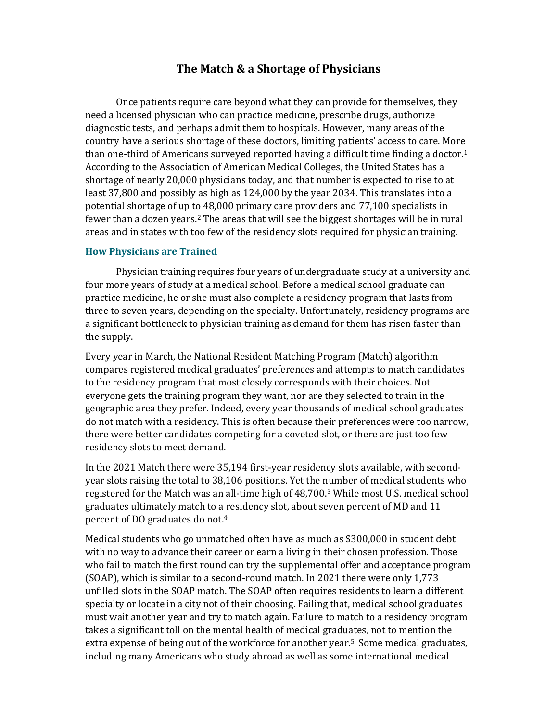## The Match & a Shortage of Physicians

Once patients require care beyond what they can provide for themselves, they need a licensed physician who can practice medicine, prescribe drugs, authorize diagnostic tests, and perhaps admit them to hospitals. However, many areas of the country have a serious shortage of these doctors, limiting patients' access to care. More than one-third of Americans surveyed reported having a difficult time finding a doctor.<sup>1</sup> According to the Association of American Medical Colleges, the United States has a shortage of nearly 20,000 physicians today, and that number is expected to rise to at least 37,800 and possibly as high as 124,000 by the year 2034. This translates into a potential shortage of up to 48,000 primary care providers and 77,100 specialists in fewer than a dozen years.2 The areas that will see the biggest shortages will be in rural areas and in states with too few of the residency slots required for physician training.

#### How Physicians are Trained

Physician training requires four years of undergraduate study at a university and four more years of study at a medical school. Before a medical school graduate can practice medicine, he or she must also complete a residency program that lasts from three to seven years, depending on the specialty. Unfortunately, residency programs are a significant bottleneck to physician training as demand for them has risen faster than the supply.

Every year in March, the National Resident Matching Program (Match) algorithm compares registered medical graduates' preferences and attempts to match candidates to the residency program that most closely corresponds with their choices. Not everyone gets the training program they want, nor are they selected to train in the geographic area they prefer. Indeed, every year thousands of medical school graduates do not match with a residency. This is often because their preferences were too narrow, there were better candidates competing for a coveted slot, or there are just too few residency slots to meet demand.

In the 2021 Match there were 35,194 first-year residency slots available, with secondyear slots raising the total to 38,106 positions. Yet the number of medical students who registered for the Match was an all-time high of 48,700.3 While most U.S. medical school graduates ultimately match to a residency slot, about seven percent of MD and 11 percent of DO graduates do not.<sup>4</sup>

Medical students who go unmatched often have as much as \$300,000 in student debt with no way to advance their career or earn a living in their chosen profession. Those who fail to match the first round can try the supplemental offer and acceptance program (SOAP), which is similar to a second-round match. In 2021 there were only 1,773 unfilled slots in the SOAP match. The SOAP often requires residents to learn a different specialty or locate in a city not of their choosing. Failing that, medical school graduates must wait another year and try to match again. Failure to match to a residency program takes a significant toll on the mental health of medical graduates, not to mention the extra expense of being out of the workforce for another year.<sup>5</sup> Some medical graduates, including many Americans who study abroad as well as some international medical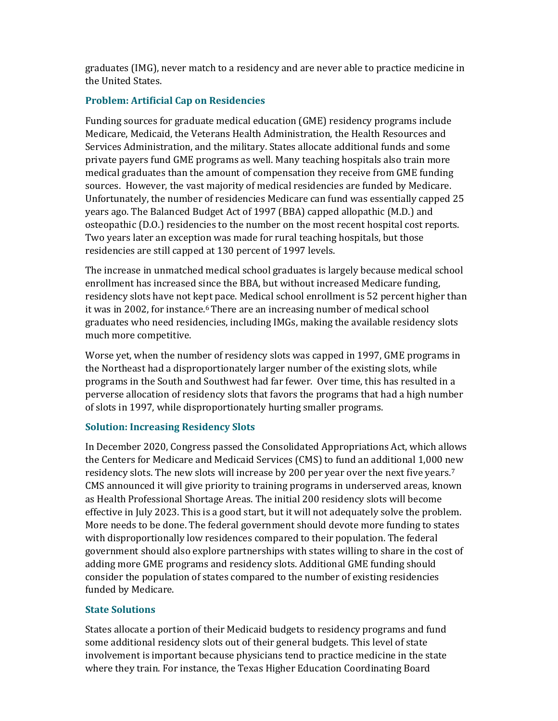graduates (IMG), never match to a residency and are never able to practice medicine in the United States.

## Problem: Artificial Cap on Residencies

Funding sources for graduate medical education (GME) residency programs include Medicare, Medicaid, the Veterans Health Administration, the Health Resources and Services Administration, and the military. States allocate additional funds and some private payers fund GME programs as well. Many teaching hospitals also train more medical graduates than the amount of compensation they receive from GME funding sources. However, the vast majority of medical residencies are funded by Medicare. Unfortunately, the number of residencies Medicare can fund was essentially capped 25 years ago. The Balanced Budget Act of 1997 (BBA) capped allopathic (M.D.) and osteopathic (D.O.) residencies to the number on the most recent hospital cost reports. Two years later an exception was made for rural teaching hospitals, but those residencies are still capped at 130 percent of 1997 levels.

The increase in unmatched medical school graduates is largely because medical school enrollment has increased since the BBA, but without increased Medicare funding, residency slots have not kept pace. Medical school enrollment is 52 percent higher than it was in 2002, for instance.6 There are an increasing number of medical school graduates who need residencies, including IMGs, making the available residency slots much more competitive.

Worse yet, when the number of residency slots was capped in 1997, GME programs in the Northeast had a disproportionately larger number of the existing slots, while programs in the South and Southwest had far fewer. Over time, this has resulted in a perverse allocation of residency slots that favors the programs that had a high number of slots in 1997, while disproportionately hurting smaller programs.

### Solution: Increasing Residency Slots

In December 2020, Congress passed the Consolidated Appropriations Act, which allows the Centers for Medicare and Medicaid Services (CMS) to fund an additional 1,000 new residency slots. The new slots will increase by 200 per year over the next five years.<sup>7</sup> CMS announced it will give priority to training programs in underserved areas, known as Health Professional Shortage Areas. The initial 200 residency slots will become effective in July 2023. This is a good start, but it will not adequately solve the problem. More needs to be done. The federal government should devote more funding to states with disproportionally low residences compared to their population. The federal government should also explore partnerships with states willing to share in the cost of adding more GME programs and residency slots. Additional GME funding should consider the population of states compared to the number of existing residencies funded by Medicare.

### State Solutions

States allocate a portion of their Medicaid budgets to residency programs and fund some additional residency slots out of their general budgets. This level of state involvement is important because physicians tend to practice medicine in the state where they train. For instance, the Texas Higher Education Coordinating Board